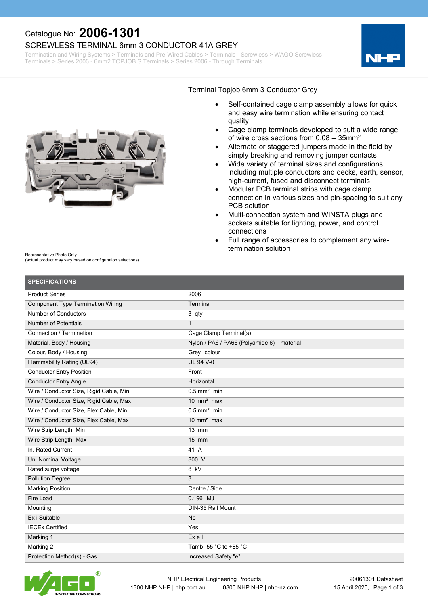### Catalogue No: **2006-1301**

#### SCREWLESS TERMINAL 6mm 3 CONDUCTOR 41A GREY

Termination and Wiring Systems > Terminals and Pre-Wired Cables > Terminals - Screwless > WAGO Screwless Terminals > Series 2006 - 6mm2 TOPJOB S Terminals > Series 2006 - Through Terminals





#### Terminal Topjob 6mm 3 Conductor Grey

- Self-contained cage clamp assembly allows for quick and easy wire termination while ensuring contact quality
- Cage clamp terminals developed to suit a wide range of wire cross sections from 0.08 – 35mm<sup>2</sup>
- Alternate or staggered jumpers made in the field by simply breaking and removing jumper contacts
- Wide variety of terminal sizes and configurations including multiple conductors and decks, earth, sensor, high-current, fused and disconnect terminals
- Modular PCB terminal strips with cage clamp connection in various sizes and pin-spacing to suit any PCB solution
- · Multi-connection system and WINSTA plugs and sockets suitable for lighting, power, and control connections
- Full range of accessories to complement any wiretermination solution

Representative Photo Only

(actual product may vary based on configuration selections)

**SPECIFICATIONS** Product Series Component Type Termination Wiring Number of Conductors Number of Potentials Connection / Termination Material, Body / Housing Colour, Body / Housing Flammability Rating (UL94) Conductor Entry Position Conductor Entry Angle Wire / Conductor Size, Rigid Cable, Min Wire / Conductor Size, Rigid Cable, Max Wire / Conductor Size, Flex Cable, Min Wire / Conductor Size, Flex Cable, Max Wire Strip Length, Min Wire Strip Length, Max In, Rated Current Un, Nominal Voltage Rated surge voltage Pollution Degree Marking Position Fire Load Mounting Ex i Suitable IECEx Certified Marking 1 Marking 2 2006 **Terminal** 3 qty 1 Cage Clamp Terminal(s) Nylon / PA6 / PA66 (Polyamide 6) material Grey colour UL 94 V-0 Front **Horizontal**  $0.5$  mm<sup>2</sup> min  $10 \text{ mm}^2$  max  $0.5$  mm<sup>2</sup> min  $10 \text{ mm}^2$  max 13 mm 15 mm 41 A 800 V  $8$  kV 3 Centre / Side 0.196 MJ DIN-35 Rail Mount No Yes Ex e II Tamb -55 °C to +85 °C



Protection Method(s) - Gas

Increased Safety "e"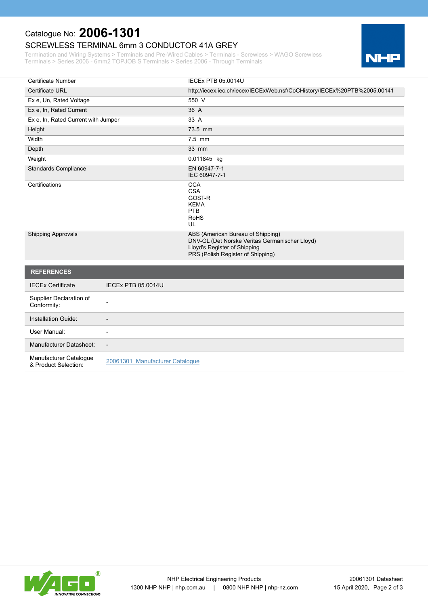# Catalogue No: **2006-1301**

### SCREWLESS TERMINAL 6mm 3 CONDUCTOR 41A GREY

Termination and Wiring Systems > Terminals and Pre-Wired Cables > Terminals - Screwless > WAGO Screwless Terminals > Series 2006 - 6mm2 TOPJOB S Terminals > Series 2006 - Through Terminals



| <b>Certificate Number</b>                      |                                 | <b>IECEX PTB 05.0014U</b>                                                                                                                                |
|------------------------------------------------|---------------------------------|----------------------------------------------------------------------------------------------------------------------------------------------------------|
| <b>Certificate URL</b>                         |                                 | http://iecex.iec.ch/iecex/IECExWeb.nsf/CoCHistory/IECEx%20PTB%2005.00141                                                                                 |
| Ex e, Un, Rated Voltage                        |                                 | 550 V                                                                                                                                                    |
| Ex e, In, Rated Current                        |                                 | 36 A                                                                                                                                                     |
| Ex e, In, Rated Current with Jumper            |                                 | 33 A                                                                                                                                                     |
| Height                                         |                                 | 73.5 mm                                                                                                                                                  |
| Width                                          |                                 | 7.5 mm                                                                                                                                                   |
| Depth                                          |                                 | 33 mm                                                                                                                                                    |
| Weight                                         |                                 | 0.011845 kg                                                                                                                                              |
| <b>Standards Compliance</b>                    |                                 | EN 60947-7-1<br>IEC 60947-7-1                                                                                                                            |
| Certifications                                 |                                 | <b>CCA</b><br><b>CSA</b><br>GOST-R<br><b>KEMA</b><br>PTB<br><b>RoHS</b><br>UL                                                                            |
| <b>Shipping Approvals</b>                      |                                 | ABS (American Bureau of Shipping)<br>DNV-GL (Det Norske Veritas Germanischer Lloyd)<br>Lloyd's Register of Shipping<br>PRS (Polish Register of Shipping) |
| <b>REFERENCES</b>                              |                                 |                                                                                                                                                          |
| <b>IECEx Certificate</b>                       | <b>IECEX PTB 05.0014U</b>       |                                                                                                                                                          |
| Supplier Declaration of<br>Conformity:         |                                 |                                                                                                                                                          |
| Installation Guide:                            |                                 |                                                                                                                                                          |
| User Manual:                                   |                                 |                                                                                                                                                          |
| Manufacturer Datasheet:                        | $\blacksquare$                  |                                                                                                                                                          |
| Manufacturer Catalogue<br>& Product Selection: | 20061301 Manufacturer Cataloque |                                                                                                                                                          |